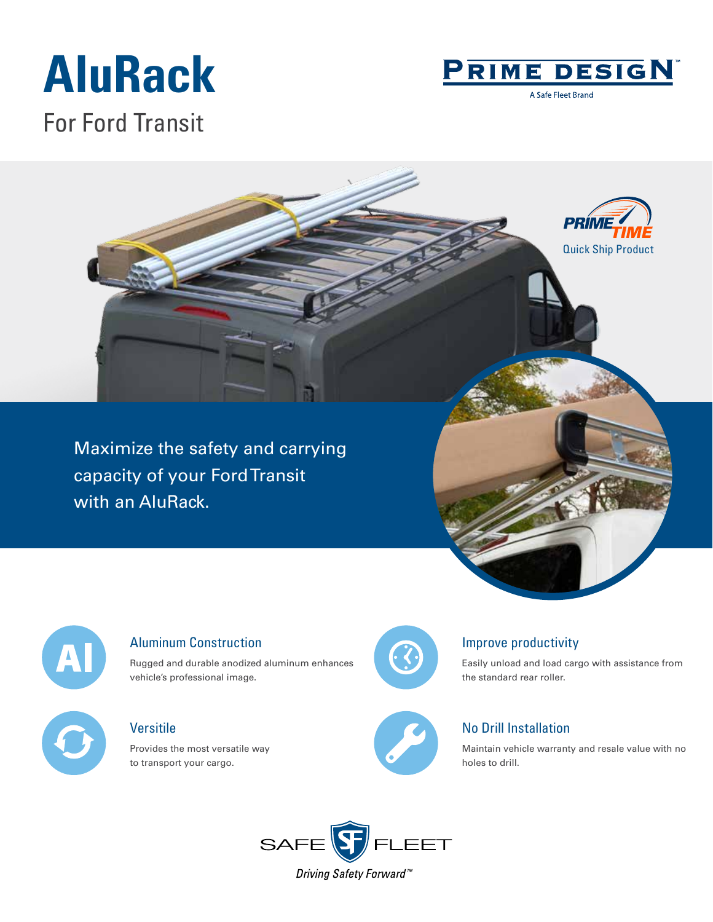# **AluRack** For Ford Transit



A Safe Fleet Brand





#### Aluminum Construction

Rugged and durable anodized aluminum enhances vehicle's professional image.

### Versitile

Provides the most versatile way to transport your cargo.



#### Improve productivity

Easily unload and load cargo with assistance from the standard rear roller.



### No Drill Installation

Maintain vehicle warranty and resale value with no holes to drill.